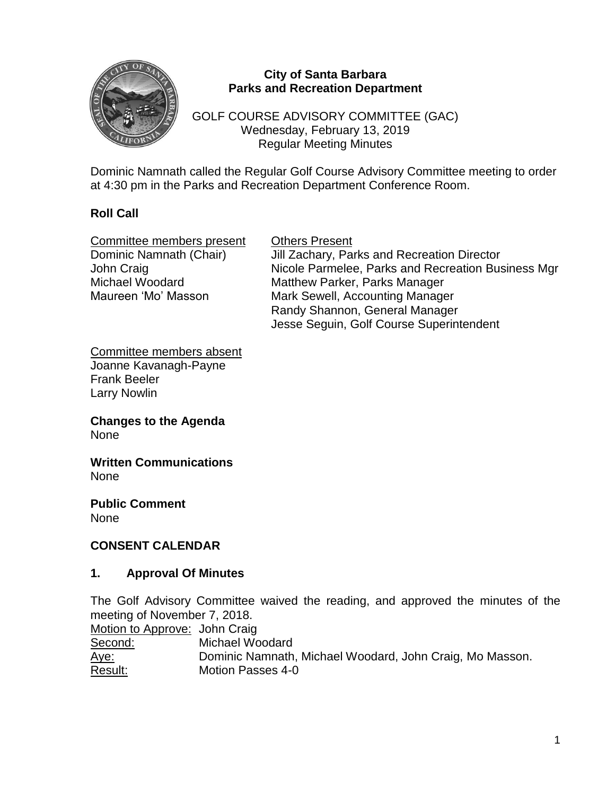

#### **City of Santa Barbara Parks and Recreation Department**

GOLF COURSE ADVISORY COMMITTEE (GAC) Wednesday, February 13, 2019 Regular Meeting Minutes

Dominic Namnath called the Regular Golf Course Advisory Committee meeting to order at 4:30 pm in the Parks and Recreation Department Conference Room.

## **Roll Call**

| Committee members present | <b>Others Present</b>                              |
|---------------------------|----------------------------------------------------|
| Dominic Namnath (Chair)   | Jill Zachary, Parks and Recreation Director        |
| John Craig                | Nicole Parmelee, Parks and Recreation Business Mgr |
| Michael Woodard           | <b>Matthew Parker, Parks Manager</b>               |
| Maureen 'Mo' Masson       | Mark Sewell, Accounting Manager                    |
|                           | Randy Shannon, General Manager                     |
|                           | Jesse Seguin, Golf Course Superintendent           |

Committee members absent Joanne Kavanagh-Payne Frank Beeler Larry Nowlin

**Changes to the Agenda** None

**Written Communications** None

**Public Comment** None

### **CONSENT CALENDAR**

#### **1. Approval Of Minutes**

The Golf Advisory Committee waived the reading, and approved the minutes of the meeting of November 7, 2018.

| Motion to Approve: John Craig |                                                          |
|-------------------------------|----------------------------------------------------------|
| Second:                       | Michael Woodard                                          |
| <u>Aye:</u>                   | Dominic Namnath, Michael Woodard, John Craig, Mo Masson. |
| Result:                       | <b>Motion Passes 4-0</b>                                 |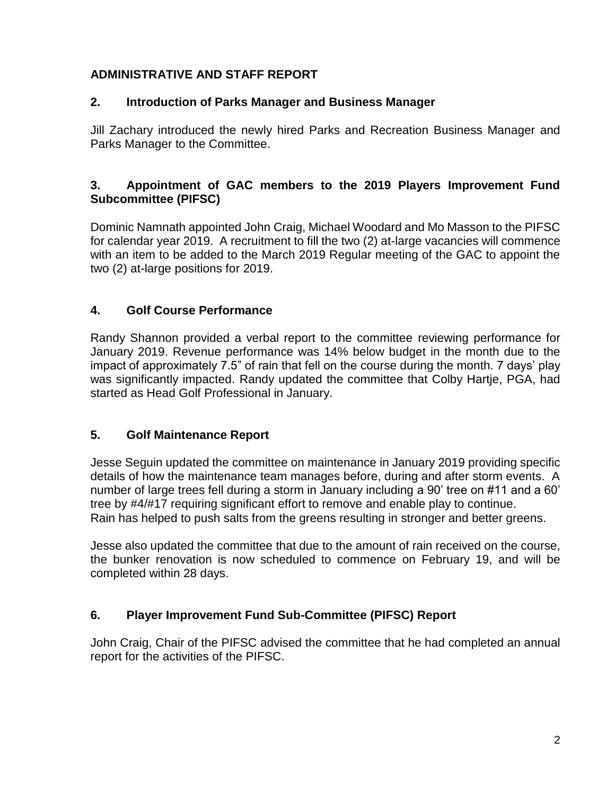# **ADMINISTRATIVE AND STAFF REPORT**

## **2. Introduction of Parks Manager and Business Manager**

Jill Zachary introduced the newly hired Parks and Recreation Business Manager and Parks Manager to the Committee.

### **3. Appointment of GAC members to the 2019 Players Improvement Fund Subcommittee (PIFSC)**

Dominic Namnath appointed John Craig, Michael Woodard and Mo Masson to the PIFSC for calendar year 2019. A recruitment to fill the two (2) at-large vacancies will commence with an item to be added to the March 2019 Regular meeting of the GAC to appoint the two (2) at-large positions for 2019.

## **4. Golf Course Performance**

Randy Shannon provided a verbal report to the committee reviewing performance for January 2019. Revenue performance was 14% below budget in the month due to the impact of approximately 7.5" of rain that fell on the course during the month. 7 days' play was significantly impacted. Randy updated the committee that Colby Hartje, PGA, had started as Head Golf Professional in January.

## **5. Golf Maintenance Report**

Jesse Seguin updated the committee on maintenance in January 2019 providing specific details of how the maintenance team manages before, during and after storm events. A number of large trees fell during a storm in January including a 90' tree on #11 and a 60' tree by #4/#17 requiring significant effort to remove and enable play to continue. Rain has helped to push salts from the greens resulting in stronger and better greens.

Jesse also updated the committee that due to the amount of rain received on the course, the bunker renovation is now scheduled to commence on February 19, and will be completed within 28 days.

## **6. Player Improvement Fund Sub-Committee (PIFSC) Report**

John Craig, Chair of the PIFSC advised the committee that he had completed an annual report for the activities of the PIFSC.